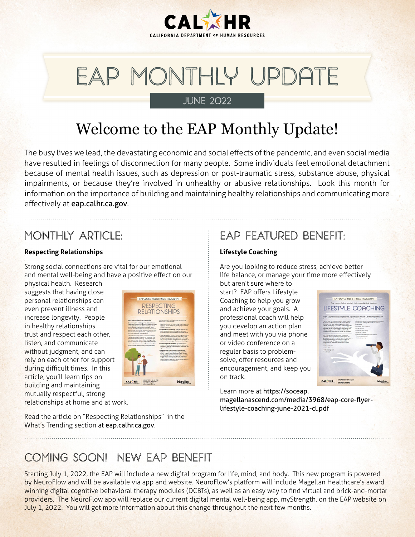

# EAP Monthly Update JUNE 2022

# Welcome to the EAP Monthly Update!

The busy lives we lead, the devastating economic and social effects of the pandemic, and even social media have resulted in feelings of disconnection for many people. Some individuals feel emotional detachment because of mental health issues, such as depression or post-traumatic stress, substance abuse, physical impairments, or because they're involved in unhealthy or abusive relationships. Look this month for information on the importance of building and maintaining healthy relationships and communicating more effectively at [eap.calhr.ca.gov](http://eap.calhr.ca.gov).

### MONTHLY ARTICLE:

#### **Respecting Relationships**

Strong social connections are vital for our emotional and mental well-being and have a positive effect on our

physical health. Research suggests that having close personal relationships can even prevent illness and increase longevity. People in healthy relationships trust and respect each other, listen, and communicate without judgment, and can rely on each other for support during difficult times. In this article, you'll learn tips on building and maintaining mutually respectful, strong relationships at home and at work.



### EAP FEATURED BENEFIT:

#### **Lifestyle Coaching**

Are you looking to reduce stress, achieve better life balance, or manage your time more effectively

but aren't sure where to start? EAP offers Lifestyle Coaching to help you grow and achieve your goals. A professional coach will help you develop an action plan and meet with you via phone or video conference on a regular basis to problemsolve, offer resources and encouragement, and keep you on track.



Learn more at [https://soceap.](https://soceap.magellanascend.com/media/3968/eap-core-flyer-lifestyle-coaching-june-2021-cl.pdf) [magellanascend.com/media/3968/eap-core-flyer](https://soceap.magellanascend.com/media/3968/eap-core-flyer-lifestyle-coaching-june-2021-cl.pdf)[lifestyle-coaching-june-2021-cl.pdf](https://soceap.magellanascend.com/media/3968/eap-core-flyer-lifestyle-coaching-june-2021-cl.pdf)

Read the article on "Respecting Relationships" in the What's Trending section at [eap.calhr.ca.gov](http://eap.calhr.ca.gov).

### COMING SOON! NEW EAP BENEFIT

Starting July 1, 2022, the EAP will include a new digital program for life, mind, and body. This new program is powered by NeuroFlow and will be available via app and website. NeuroFlow's platform will include Magellan Healthcare's award winning digital cognitive behavioral therapy modules (DCBTs), as well as an easy way to find virtual and brick-and-mortar providers. The NeuroFlow app will replace our current digital mental well-being app, myStrength, on the EAP website on July 1, 2022. You will get more information about this change throughout the next few months.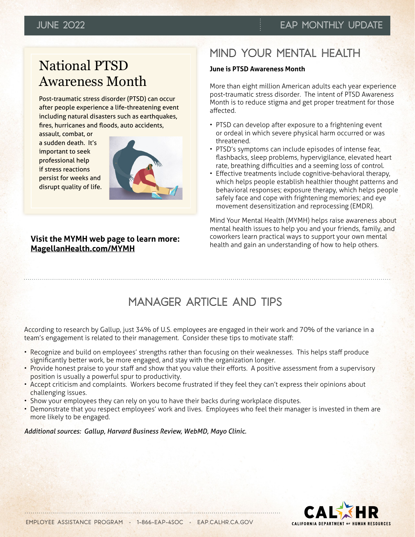## National PTSD Awareness Month

Post-traumatic stress disorder (PTSD) can occur after people experience a life-threatening event including natural disasters such as earthquakes, fires, hurricanes and floods, auto accidents,

assault, combat, or a sudden death. It's important to seek professional help if stress reactions persist for weeks and disrupt quality of life.



### **Visit the MYMH web page to learn more: [MagellanHealth.com/MYMH](http://MagellanHealth.com/MYMH)**

## MIND YOUR MENTAL HEALTH

#### **June is PTSD Awareness Month**

More than eight million American adults each year experience post-traumatic stress disorder. The intent of PTSD Awareness Month is to reduce stigma and get proper treatment for those affected.

- PTSD can develop after exposure to a frightening event or ordeal in which severe physical harm occurred or was threatened.
- PTSD's symptoms can include episodes of intense fear, flashbacks, sleep problems, hypervigilance, elevated heart rate, breathing difficulties and a seeming loss of control.
- Effective treatments include cognitive-behavioral therapy, which helps people establish healthier thought patterns and behavioral responses; exposure therapy, which helps people safely face and cope with frightening memories; and eye movement desensitization and reprocessing (EMDR).

Mind Your Mental Health (MYMH) helps raise awareness about mental health issues to help you and your friends, family, and coworkers learn practical ways to support your own mental health and gain an understanding of how to help others.

### MANAGER ARTICLE AND TIPS

According to research by Gallup, just 34% of U.S. employees are engaged in their work and 70% of the variance in a team's engagement is related to their management. Consider these tips to motivate staff:

- Recognize and build on employees' strengths rather than focusing on their weaknesses. This helps staff produce significantly better work, be more engaged, and stay with the organization longer.
- Provide honest praise to your staff and show that you value their efforts. A positive assessment from a supervisory position is usually a powerful spur to productivity.
- Accept criticism and complaints. Workers become frustrated if they feel they can't express their opinions about challenging issues.
- Show your employees they can rely on you to have their backs during workplace disputes.
- Demonstrate that you respect employees' work and lives. Employees who feel their manager is invested in them are more likely to be engaged.

#### *Additional sources: Gallup, Harvard Business Review, WebMD, Mayo Clinic.*